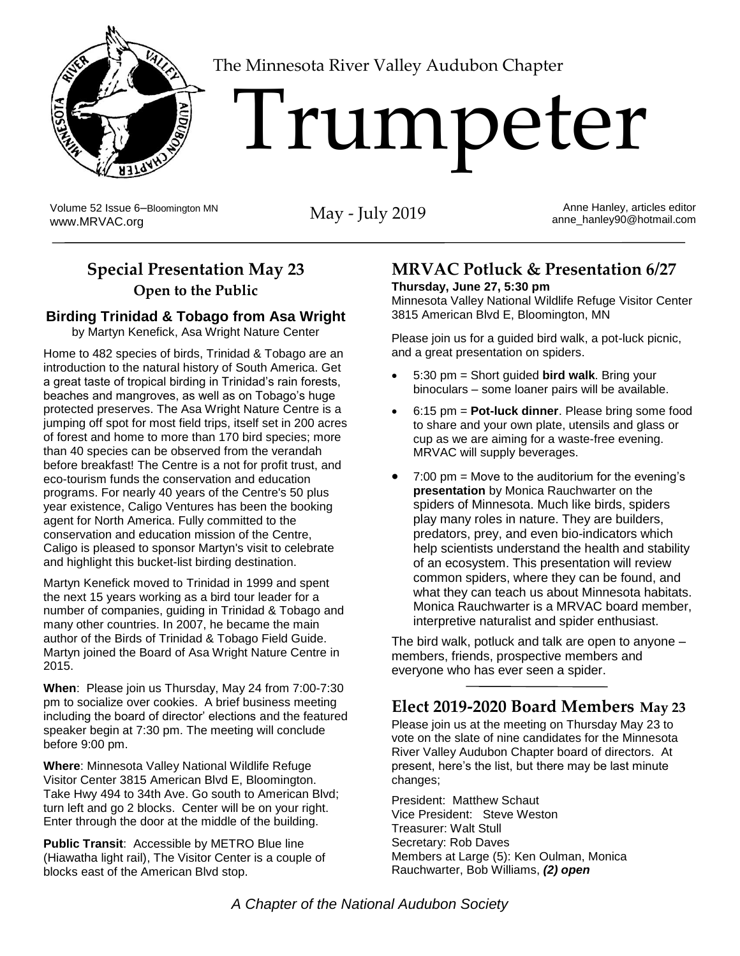

The Minnesota River Valley Audubon Chapter

# 'I'rumpeter

Volume 52 Issue 6–Bloomington MN Volume 52 Issue 6-Bloomington MN<br>[www.MRVAC.org](http://www.mrvac.org/) May - July 2019

Anne Hanley, articles editor anne\_hanley90@hotmail.com

## **Special Presentation May 23 Open to the Public**

#### **Birding Trinidad & Tobago from Asa Wright**

by Martyn Kenefick, Asa Wright Nature Center

Home to 482 species of birds, Trinidad & Tobago are an introduction to the natural history of South America. Get a great taste of tropical birding in Trinidad's rain forests, beaches and mangroves, as well as on Tobago's huge protected preserves. The Asa Wright Nature Centre is a jumping off spot for most field trips, itself set in 200 acres of forest and home to more than 170 bird species; more than 40 species can be observed from the verandah before breakfast! The Centre is a not for profit trust, and eco-tourism funds the conservation and education programs. For nearly 40 years of the Centre's 50 plus year existence, Caligo Ventures has been the booking agent for North America. Fully committed to the conservation and education mission of the Centre, Caligo is pleased to sponsor Martyn's visit to celebrate and highlight this bucket-list birding destination.

Martyn Kenefick moved to Trinidad in 1999 and spent the next 15 years working as a bird tour leader for a number of companies, guiding in Trinidad & Tobago and many other countries. In 2007, he became the main author of the Birds of Trinidad & Tobago Field Guide. Martyn joined the Board of Asa Wright Nature Centre in 2015.

**When**: Please join us Thursday, May 24 from 7:00-7:30 pm to socialize over cookies. A brief business meeting including the board of director' elections and the featured speaker begin at 7:30 pm. The meeting will conclude before 9:00 pm.

**Where**: Minnesota Valley National Wildlife Refuge Visitor Center 3815 American Blvd E, Bloomington. Take Hwy 494 to 34th Ave. Go south to American Blvd; turn left and go 2 blocks. Center will be on your right. Enter through the door at the middle of the building.

**Public Transit**: Accessible by METRO Blue line (Hiawatha light rail), The Visitor Center is a couple of blocks east of the American Blvd stop.

## **MRVAC Potluck & Presentation 6/27**

**Thursday, June 27, 5:30 pm**

Minnesota Valley National Wildlife Refuge Visitor Center 3815 American Blvd E, Bloomington, MN

Please join us for a guided bird walk, a pot-luck picnic, and a great presentation on spiders.

- 5:30 pm = Short guided **bird walk**. Bring your binoculars – some loaner pairs will be available.
- 6:15 pm = **Pot-luck dinner**. Please bring some food to share and your own plate, utensils and glass or cup as we are aiming for a waste-free evening. MRVAC will supply beverages.
- 7:00 pm = Move to the auditorium for the evening's **presentation** by Monica Rauchwarter on the spiders of Minnesota. Much like birds, spiders play many roles in nature. They are builders, predators, prey, and even bio-indicators which help scientists understand the health and stability of an ecosystem. This presentation will review common spiders, where they can be found, and what they can teach us about Minnesota habitats. Monica Rauchwarter is a MRVAC board member, interpretive naturalist and spider enthusiast.

The bird walk, potluck and talk are open to anyone – members, friends, prospective members and everyone who has ever seen a spider.

### **Elect 2019-2020 Board Members May 23**

Please join us at the meeting on Thursday May 23 to vote on the slate of nine candidates for the Minnesota River Valley Audubon Chapter board of directors. At present, here's the list, but there may be last minute changes;

President: Matthew Schaut Vice President: Steve Weston Treasurer: Walt Stull Secretary: Rob Daves Members at Large (5): Ken Oulman, Monica Rauchwarter, Bob Williams, *(2) open*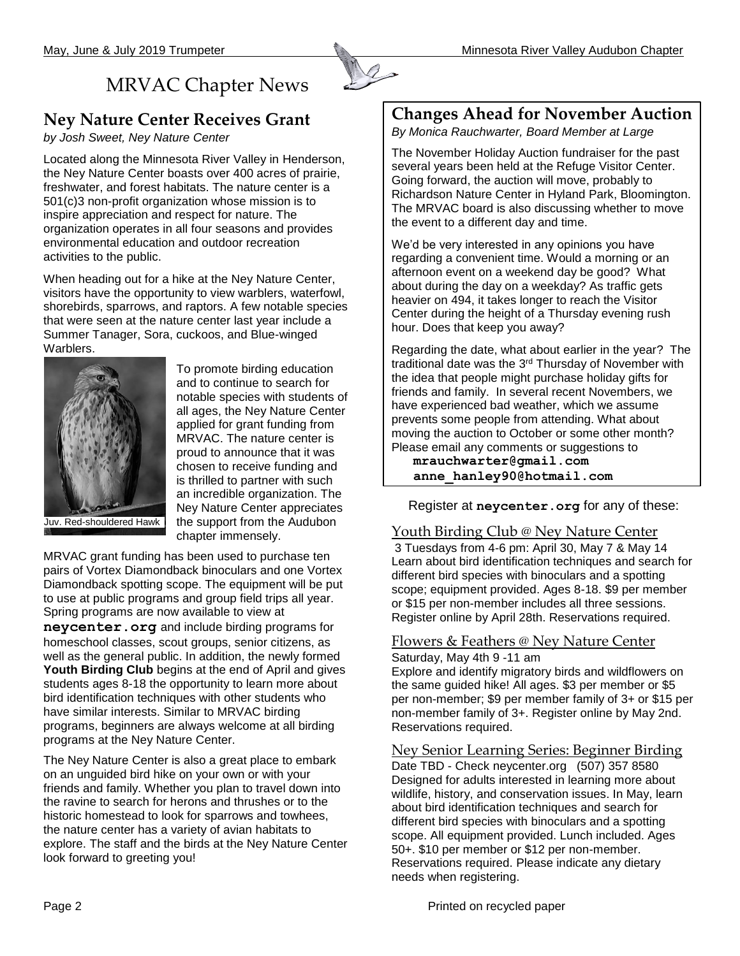# MRVAC Chapter News

#### **Ney Nature Center Receives Grant**

*by Josh Sweet, Ney Nature Center*

Located along the Minnesota River Valley in Henderson, the Ney Nature Center boasts over 400 acres of prairie, freshwater, and forest habitats. The nature center is a 501(c)3 non-profit organization whose mission is to inspire appreciation and respect for nature. The organization operates in all four seasons and provides environmental education and outdoor recreation activities to the public.

When heading out for a hike at the Ney Nature Center, visitors have the opportunity to view warblers, waterfowl, shorebirds, sparrows, and raptors. A few notable species that were seen at the nature center last year include a Summer Tanager, Sora, cuckoos, and Blue-winged **Warblers** 



To promote birding education and to continue to search for notable species with students of all ages, the Ney Nature Center applied for grant funding from MRVAC. The nature center is proud to announce that it was chosen to receive funding and is thrilled to partner with such an incredible organization. The Ney Nature Center appreciates the support from the Audubon chapter immensely.

Juv. Red-shouldered Hawk

MRVAC grant funding has been used to purchase ten pairs of Vortex Diamondback binoculars and one Vortex Diamondback spotting scope. The equipment will be put to use at public programs and group field trips all year. Spring programs are now available to view at **neycenter.org** and include birding programs for homeschool classes, scout groups, senior citizens, as

well as the general public. In addition, the newly formed **Youth Birding Club** begins at the end of April and gives students ages 8-18 the opportunity to learn more about bird identification techniques with other students who have similar interests. Similar to MRVAC birding programs, beginners are always welcome at all birding programs at the Ney Nature Center.

The Ney Nature Center is also a great place to embark on an unguided bird hike on your own or with your friends and family. Whether you plan to travel down into the ravine to search for herons and thrushes or to the historic homestead to look for sparrows and towhees, the nature center has a variety of avian habitats to explore. The staff and the birds at the Ney Nature Center look forward to greeting you!

#### **Changes Ahead for November Auction**

*By Monica Rauchwarter, Board Member at Large*

The November Holiday Auction fundraiser for the past several years been held at the Refuge Visitor Center. Going forward, the auction will move, probably to Richardson Nature Center in Hyland Park, Bloomington. The MRVAC board is also discussing whether to move the event to a different day and time.

We'd be very interested in any opinions you have regarding a convenient time. Would a morning or an afternoon event on a weekend day be good? What about during the day on a weekday? As traffic gets heavier on 494, it takes longer to reach the Visitor Center during the height of a Thursday evening rush hour. Does that keep you away?

Regarding the date, what about earlier in the year? The traditional date was the 3<sup>rd</sup> Thursday of November with the idea that people might purchase holiday gifts for friends and family. In several recent Novembers, we have experienced bad weather, which we assume prevents some people from attending. What about moving the auction to October or some other month? Please email any comments or suggestions to

**[mrauchwarter@gmail.com](mailto:mrauchwarter@gmail.com)  [anne\\_hanley90@hotmail.com](mailto:anne_hanley90@hotmail.com)**

Register at **neycenter.org** for any of these:

#### Youth Birding Club @ Ney Nature Center

3 Tuesdays from 4-6 pm: April 30, May 7 & May 14 Learn about bird identification techniques and search for different bird species with binoculars and a spotting scope; equipment provided. Ages 8-18. \$9 per member or \$15 per non-member includes all three sessions. Register online by April 28th. Reservations required.

#### Flowers & Feathers @ Ney Nature Center Saturday, May 4th 9 -11 am

Explore and identify migratory birds and wildflowers on the same guided hike! All ages. \$3 per member or \$5 per non-member; \$9 per member family of 3+ or \$15 per non-member family of 3+. Register online by May 2nd. Reservations required.

Ney Senior Learning Series: Beginner Birding Date TBD - Check [neycenter.org](http://neycenter.org/) (507) 357 8580 Designed for adults interested in learning more about wildlife, history, and conservation issues. In May, learn about bird identification techniques and search for different bird species with binoculars and a spotting scope. All equipment provided. Lunch included. Ages 50+. \$10 per member or \$12 per non-member. Reservations required. Please indicate any dietary needs when registering.

Page 2 **Page 2** Printed on recycled paper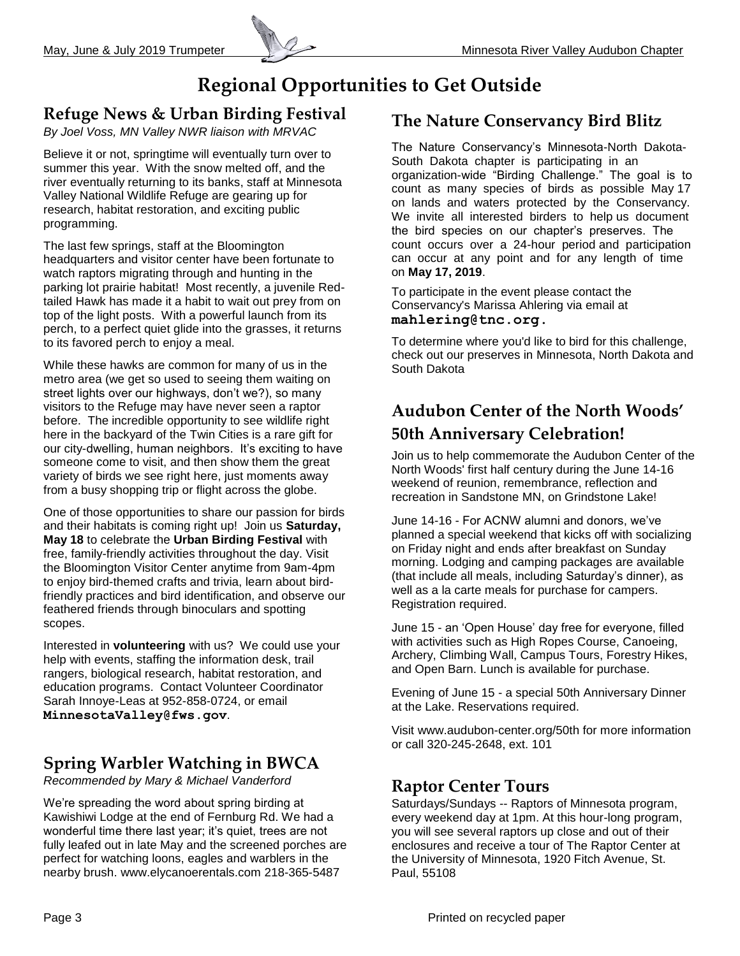## **Regional Opportunities to Get Outside**

## **Refuge News & Urban Birding Festival**

*By Joel Voss, MN Valley NWR liaison with MRVAC*

Believe it or not, springtime will eventually turn over to summer this year. With the snow melted off, and the river eventually returning to its banks, staff at Minnesota Valley National Wildlife Refuge are gearing up for research, habitat restoration, and exciting public programming.

The last few springs, staff at the Bloomington headquarters and visitor center have been fortunate to watch raptors migrating through and hunting in the parking lot prairie habitat! Most recently, a juvenile Redtailed Hawk has made it a habit to wait out prey from on top of the light posts. With a powerful launch from its perch, to a perfect quiet glide into the grasses, it returns to its favored perch to enjoy a meal.

While these hawks are common for many of us in the metro area (we get so used to seeing them waiting on street lights over our highways, don't we?), so many visitors to the Refuge may have never seen a raptor before. The incredible opportunity to see wildlife right here in the backyard of the Twin Cities is a rare gift for our city-dwelling, human neighbors. It's exciting to have someone come to visit, and then show them the great variety of birds we see right here, just moments away from a busy shopping trip or flight across the globe.

One of those opportunities to share our passion for birds and their habitats is coming right up! Join us **Saturday, May 18** to celebrate the **Urban Birding Festival** with free, family-friendly activities throughout the day. Visit the Bloomington Visitor Center anytime from 9am-4pm to enjoy bird-themed crafts and trivia, learn about birdfriendly practices and bird identification, and observe our feathered friends through binoculars and spotting scopes.

Interested in **volunteering** with us? We could use your help with events, staffing the information desk, trail rangers, biological research, habitat restoration, and education programs. Contact Volunteer Coordinator Sarah Innoye-Leas at 952-858-0724, or email **[MinnesotaValley@fws.gov](mailto:MinnesotaValley@fws.gov)**.

## **Spring Warbler Watching in BWCA**

*Recommended by Mary & Michael Vanderford*

We're spreading the word about spring birding at Kawishiwi Lodge at the end of Fernburg Rd. We had a wonderful time there last year; it's quiet, trees are not fully leafed out in late May and the screened porches are perfect for watching loons, eagles and warblers in the nearby brush. [www.elycanoerentals.com](http://www.elycanoerentals.com/) 218-365-5487

## **The Nature Conservancy Bird Blitz**

The Nature Conservancy's Minnesota-North Dakota-South Dakota chapter is participating in an organization-wide "Birding Challenge." The goal is to count as many species of birds as possible May 17 on lands and waters protected by the Conservancy. We invite all interested birders to help us document the bird species on our chapter's preserves. The count occurs over a 24-hour period and participation can occur at any point and for any length of time on **May 17, 2019**.

To participate in the event please contact the Conservancy's Marissa Ahlering via email at **mahlering@tnc.org.**

To determine where you'd like to bird for this challenge, check out our preserves in Minnesota, North Dakota and South Dakota

## **Audubon Center of the North Woods' 50th Anniversary Celebration!**

Join us to help commemorate the Audubon Center of the North Woods' first half century during the June 14-16 weekend of reunion, remembrance, reflection and recreation in Sandstone MN, on Grindstone Lake!

June 14-16 - For ACNW alumni and donors, we've planned a special weekend that kicks off with socializing on Friday night and ends after breakfast on Sunday morning. Lodging and camping packages are available (that include all meals, including Saturday's dinner), as well as a la carte meals for purchase for campers. Registration required.

June 15 - an 'Open House' day free for everyone, filled with activities such as High Ropes Course, Canoeing, Archery, Climbing Wall, Campus Tours, Forestry Hikes, and Open Barn. Lunch is available for purchase.

Evening of June 15 - a special 50th Anniversary Dinner at the Lake. Reservations required.

Visit www.audubon-center.org/50th for more information or call 320-245-2648, ext. 101

#### **Raptor Center Tours**

Saturdays/Sundays -- Raptors of Minnesota program, every weekend day at 1pm. At this hour-long program, you will see several raptors up close and out of their enclosures and receive a tour of The Raptor Center at the University of Minnesota, 1920 Fitch Avenue, St. Paul, 55108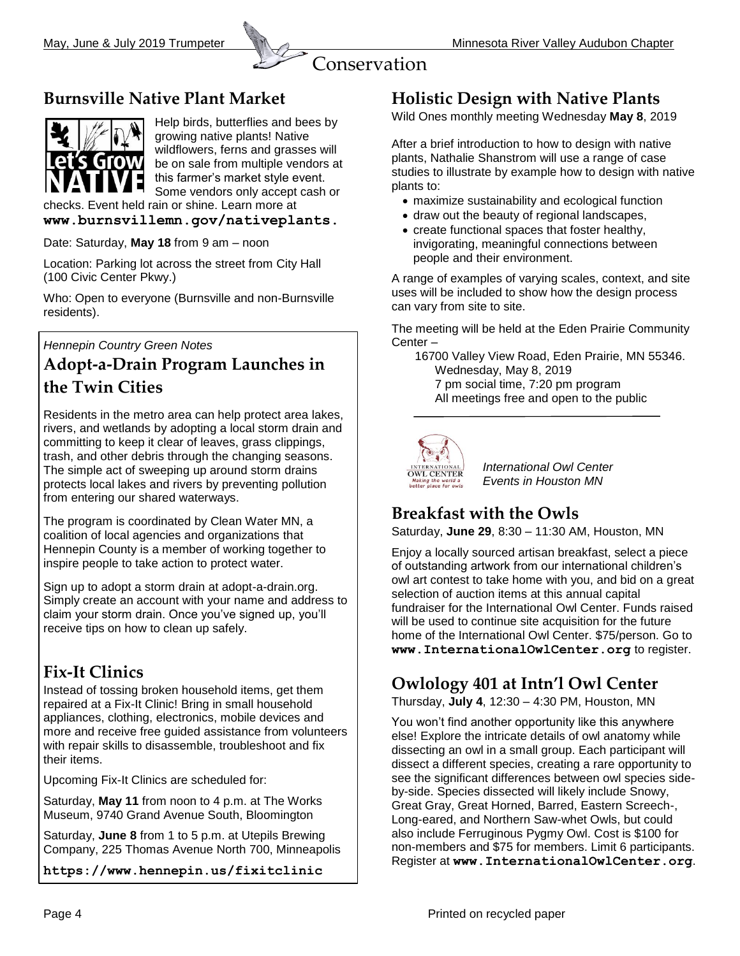



## **Burnsville Native Plant Market**



Help birds, butterflies and bees by growing native plants! Native wildflowers, ferns and grasses will be on sale from multiple vendors at this farmer's market style event. Some vendors only accept cash or

checks. Event held rain or shine. Learn more at **www.burnsvillemn.gov/nativeplants.**

Date: Saturday, **May 18** from 9 am – noon

Location: Parking lot across the street from City Hall (100 Civic Center Pkwy.)

Who: Open to everyone (Burnsville and non-Burnsville residents).

*Hennepin Country Green Notes*

## **Adopt-a-Drain Program Launches in the Twin Cities**

Residents in the metro area can help protect area lakes, rivers, and wetlands by adopting a local storm drain and committing to keep it clear of leaves, grass clippings, trash, and other debris through the changing seasons. The simple act of sweeping up around storm drains protects local lakes and rivers by preventing pollution from entering our shared waterways.

The program is coordinated by Clean Water MN, a coalition of local agencies and organizations that Hennepin County is a member of working together to inspire people to take action to protect water.

Sign up to adopt a storm drain at adopt-a-drain.org. Simply create an account with your name and address to claim your storm drain. Once you've signed up, you'll receive tips on how to clean up safely.

## **Fix-It Clinics**

Instead of tossing broken household items, get them repaired at a Fix-It Clinic! Bring in small household appliances, clothing, electronics, mobile devices and more and receive free guided assistance from volunteers with repair skills to disassemble, troubleshoot and fix their items.

Upcoming Fix-It Clinics are scheduled for:

Saturday, **May 11** from noon to 4 p.m. at The Works Museum, 9740 Grand Avenue South, Bloomington

Saturday, **June 8** from 1 to 5 p.m. at Utepils Brewing Company, 225 Thomas Avenue North 700, Minneapolis

**<https://www.hennepin.us/fixitclinic>**

#### **Holistic Design with Native Plants**

Wild Ones monthly meeting Wednesday **May 8**, 2019

After a brief introduction to how to design with native plants, Nathalie Shanstrom will use a range of case studies to illustrate by example how to design with native plants to:

- maximize sustainability and ecological function
- draw out the beauty of regional landscapes,
- create functional spaces that foster healthy, invigorating, meaningful connections between people and their environment.

A range of examples of varying scales, context, and site uses will be included to show how the design process can vary from site to site.

The meeting will be held at the Eden Prairie Community Center –

 16700 Valley View Road, Eden Prairie, MN 55346. Wednesday, May 8, 2019 7 pm social time, 7:20 pm program All meetings free and open to the public



*International Owl Center Events in Houston MN*

## **Breakfast with the Owls**

Saturday, **June 29**, 8:30 – 11:30 AM, Houston, MN

Enjoy a locally sourced artisan breakfast, select a piece of outstanding artwork from our international children's owl art contest to take home with you, and bid on a great selection of auction items at this annual capital fundraiser for the International Owl Center. Funds raised will be used to continue site acquisition for the future home of the International Owl Center. \$75/person. Go to **www.InternationalOwlCenter.org** to register.

## **Owlology 401 at Intn'l Owl Center**

Thursday, **July 4**, 12:30 – 4:30 PM, Houston, MN

You won't find another opportunity like this anywhere else! Explore the intricate details of owl anatomy while dissecting an owl in a small group. Each participant will dissect a different species, creating a rare opportunity to see the significant differences between owl species sideby-side. Species dissected will likely include Snowy, Great Gray, Great Horned, Barred, Eastern Screech-, Long-eared, and Northern Saw-whet Owls, but could also include Ferruginous Pygmy Owl. Cost is \$100 for non-members and \$75 for members. Limit 6 participants. Register at **www.InternationalOwlCenter.org**.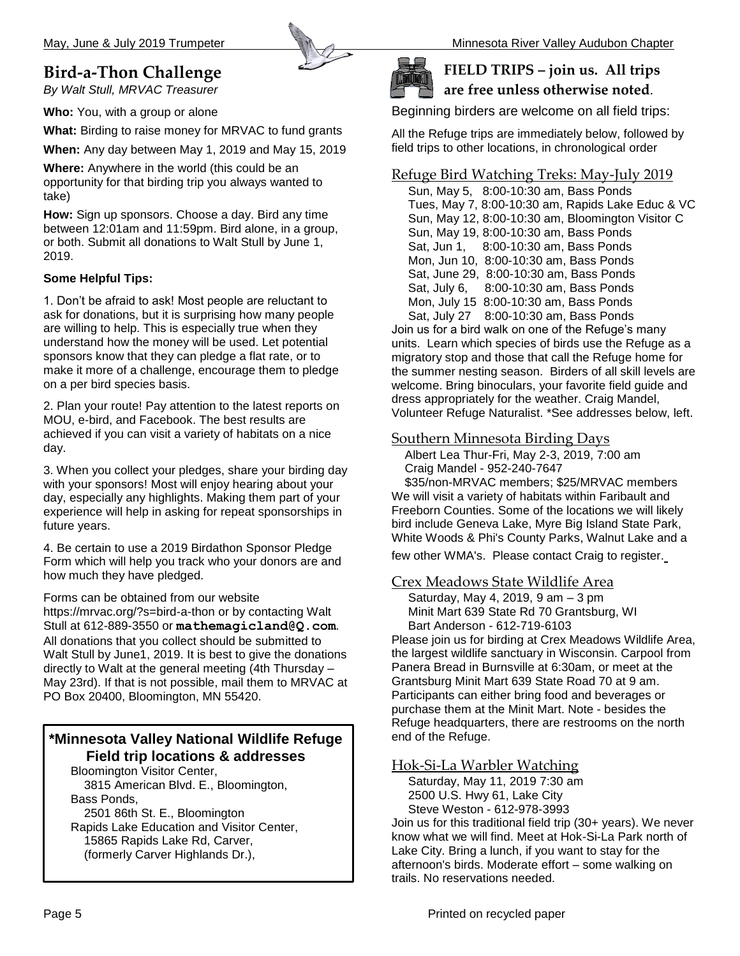## **Bird-a-Thon Challenge**

*By Walt Stull, MRVAC Treasurer*

**Who:** You, with a group or alone

**What:** Birding to raise money for MRVAC to fund grants

**When:** Any day between May 1, 2019 and May 15, 2019

**Where:** Anywhere in the world (this could be an opportunity for that birding trip you always wanted to take)

**How:** Sign up sponsors. Choose a day. Bird any time between 12:01am and 11:59pm. Bird alone, in a group, or both. Submit all donations to Walt Stull by June 1, 2019.

#### **Some Helpful Tips:**

1. Don't be afraid to ask! Most people are reluctant to ask for donations, but it is surprising how many people are willing to help. This is especially true when they understand how the money will be used. Let potential sponsors know that they can pledge a flat rate, or to make it more of a challenge, encourage them to pledge on a per bird species basis.

2. Plan your route! Pay attention to the latest reports on MOU, e-bird, and Facebook. The best results are achieved if you can visit a variety of habitats on a nice day.

3. When you collect your pledges, share your birding day with your sponsors! Most will enjoy hearing about your day, especially any highlights. Making them part of your experience will help in asking for repeat sponsorships in future years.

4. Be certain to use a 2019 Birdathon Sponsor Pledge Form which will help you track who your donors are and how much they have pledged.

Forms can be obtained from our website

https://mrvac.org/?s=bird-a-thon or by contacting Walt Stull at 612-889-3550 or **[mathemagicland@Q.com](mailto:mathemagicland@Q.com)**. All donations that you collect should be submitted to Walt Stull by June1, 2019. It is best to give the donations directly to Walt at the general meeting (4th Thursday – May 23rd). If that is not possible, mail them to MRVAC at PO Box 20400, Bloomington, MN 55420.

#### **\*Minnesota Valley National Wildlife Refuge Field trip locations & addresses**

Bloomington Visitor Center, 3815 American Blvd. E., Bloomington, Bass Ponds, 2501 86th St. E., Bloomington Rapids Lake Education and Visitor Center,

15865 Rapids Lake Rd, Carver,

(formerly Carver Highlands Dr.),



#### **FIELD TRIPS – join us. All trips are free unless otherwise noted**.

Beginning birders are welcome on all field trips:

All the Refuge trips are immediately below, followed by field trips to other locations, in chronological order

#### Refuge Bird Watching Treks: May-July 2019

 Sun, May 5, 8:00-10:30 am, Bass Ponds Tues, May 7, 8:00-10:30 am, Rapids Lake Educ & VC Sun, May 12, 8:00-10:30 am, Bloomington Visitor C Sun, May 19, 8:00-10:30 am, Bass Ponds Sat, Jun 1, 8:00-10:30 am, Bass Ponds Mon, Jun 10, 8:00-10:30 am, Bass Ponds Sat, June 29, 8:00-10:30 am, Bass Ponds Sat, July 6, 8:00-10:30 am, Bass Ponds Mon, July 15 8:00-10:30 am, Bass Ponds Sat, July 27 8:00-10:30 am, Bass Ponds

Join us for a bird walk on one of the Refuge's many units. Learn which species of birds use the Refuge as a migratory stop and those that call the Refuge home for the summer nesting season. Birders of all skill levels are welcome. Bring binoculars, your favorite field guide and dress appropriately for the weather. Craig Mandel, Volunteer Refuge Naturalist. \*See addresses below, left.

#### Southern Minnesota Birding Days

 Albert Lea Thur-Fri, May 2-3, 2019, 7:00 am Craig Mandel - 952-240-7647

 \$35/non-MRVAC members; \$25/MRVAC members We will visit a variety of habitats within Faribault and Freeborn Counties. Some of the locations we will likely bird include Geneva Lake, Myre Big Island State Park, White Woods & Phi's County Parks, Walnut Lake and a

few other WMA's. Please contact Craig to register.

#### Crex Meadows State Wildlife Area

 Saturday, May 4, 2019, 9 am – 3 pm Minit Mart 639 State Rd 70 Grantsburg, WI Bart Anderson - 612-719-6103

Please join us for birding at Crex Meadows Wildlife Area, the largest wildlife sanctuary in Wisconsin. Carpool from Panera Bread in Burnsville at 6:30am, or meet at the Grantsburg Minit Mart 639 State Road 70 at 9 am. Participants can either bring food and beverages or purchase them at the Minit Mart. Note - besides the Refuge headquarters, there are restrooms on the north end of the Refuge.

#### Hok-Si-La Warbler Watching

 Saturday, May 11, 2019 7:30 am 2500 U.S. Hwy 61, Lake City Steve Weston - [612-978-3993](tel:612-978-3993)

Join us for this traditional field trip (30+ years). We never know what we will find. Meet at Hok-Si-La Park north of Lake City. Bring a lunch, if you want to stay for the afternoon's birds. Moderate effort – some walking on trails. No reservations needed.